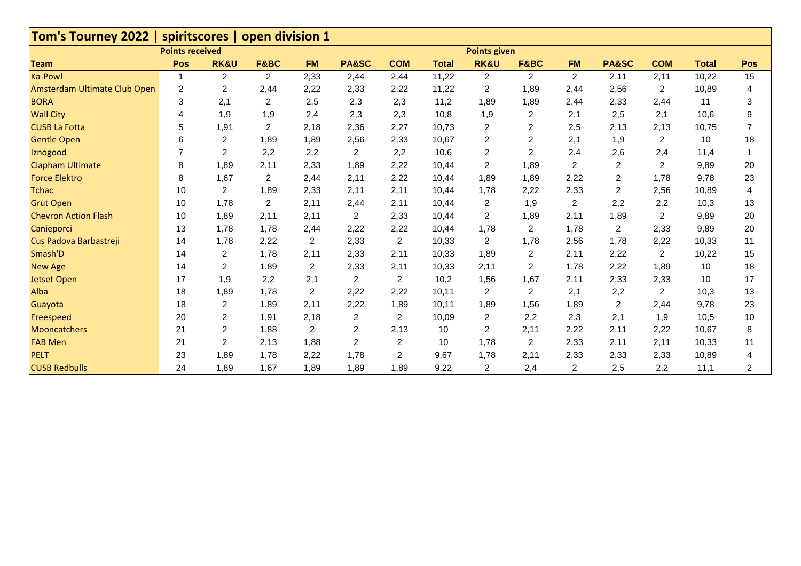| Tom's Tourney 2022   spiritscores   open division 1 |                        |                 |                |                |                |                |              |                         |      |                |                         |                |              |                |
|-----------------------------------------------------|------------------------|-----------------|----------------|----------------|----------------|----------------|--------------|-------------------------|------|----------------|-------------------------|----------------|--------------|----------------|
|                                                     | <b>Points received</b> |                 |                |                |                |                |              | <b>Points given</b>     |      |                |                         |                |              |                |
| <b>Team</b>                                         | Pos                    | <b>RK&amp;U</b> | F&BC           | <b>FM</b>      | PA&SC          | <b>COM</b>     | <b>Total</b> | <b>RK&amp;U</b>         | F&BC | <b>FM</b>      | PA&SC                   | <b>COM</b>     | <b>Total</b> | Pos            |
| Ka-Pow!                                             |                        | $\overline{2}$  | $\overline{2}$ | 2,33           | 2,44           | 2,44           | 11,22        | $\overline{2}$          | 2    | $\overline{2}$ | 2,11                    | 2,11           | 10,22        | 15             |
| Amsterdam Ultimate Club Open                        | $\overline{c}$         | 2               | 2,44           | 2,22           | 2,33           | 2,22           | 11,22        | $\sqrt{2}$              | 1,89 | 2,44           | 2,56                    | $\overline{2}$ | 10,89        | 4              |
| <b>BORA</b>                                         | 3                      | 2,1             | $\overline{c}$ | 2,5            | 2,3            | 2,3            | 11,2         | 1,89                    | 1,89 | 2,44           | 2,33                    | 2,44           | 11           | 3              |
| <b>Wall City</b>                                    | 4                      | 1,9             | 1,9            | 2,4            | 2,3            | 2,3            | 10,8         | 1,9                     | 2    | 2,1            | 2,5                     | 2,1            | 10,6         | 9              |
| <b>CUSB La Fotta</b>                                | 5                      | 1,91            | $\overline{2}$ | 2,18           | 2,36           | 2,27           | 10,73        | $\sqrt{2}$              | 2    | 2,5            | 2,13                    | 2,13           | 10,75        | $\overline{7}$ |
| <b>Gentle Open</b>                                  | 6                      | $\overline{2}$  | 1,89           | 1,89           | 2,56           | 2,33           | 10,67        | $\overline{c}$          | 2    | 2,1            | 1,9                     | 2              | 10           | 18             |
| Iznogood                                            |                        | 2               | 2,2            | 2,2            | 2              | 2,2            | 10,6         | $\overline{\mathbf{c}}$ | 2    | 2,4            | 2,6                     | 2,4            | 11,4         |                |
| <b>Clapham Ultimate</b>                             | 8                      | 1,89            | 2,11           | 2,33           | 1,89           | 2,22           | 10,44        | $\overline{c}$          | 1,89 | $\overline{2}$ | $\overline{c}$          | $\overline{c}$ | 9,89         | 20             |
| <b>Force Elektro</b>                                | 8                      | 1,67            | $\overline{2}$ | 2,44           | 2,11           | 2,22           | 10,44        | 1,89                    | 1,89 | 2,22           | $\overline{\mathbf{c}}$ | 1,78           | 9,78         | 23             |
| <b>Tchac</b>                                        | 10                     | 2               | 1,89           | 2,33           | 2,11           | 2,11           | 10,44        | 1,78                    | 2,22 | 2,33           | $\overline{2}$          | 2,56           | 10,89        | 4              |
| <b>Grut Open</b>                                    | 10                     | 1,78            | $\overline{2}$ | 2,11           | 2,44           | 2,11           | 10,44        | 2                       | 1,9  | 2              | 2,2                     | 2,2            | 10,3         | 13             |
| <b>Chevron Action Flash</b>                         | 10                     | 1,89            | 2,11           | 2,11           | 2              | 2,33           | 10,44        | $\overline{\mathbf{c}}$ | 1,89 | 2,11           | 1,89                    | $\overline{c}$ | 9,89         | 20             |
| Canieporci                                          | 13                     | 1,78            | 1,78           | 2,44           | 2,22           | 2,22           | 10,44        | 1,78                    | 2    | 1,78           | $\overline{2}$          | 2,33           | 9,89         | 20             |
| Cus Padova Barbastreji                              | 14                     | 1,78            | 2,22           | $\overline{c}$ | 2,33           | $\overline{2}$ | 10,33        | $\overline{2}$          | 1,78 | 2,56           | 1,78                    | 2,22           | 10,33        | 11             |
| Smash'D                                             | 14                     | $\overline{2}$  | 1,78           | 2,11           | 2,33           | 2,11           | 10,33        | 1,89                    | 2    | 2,11           | 2,22                    | 2              | 10,22        | 15             |
| <b>New Age</b>                                      | 14                     | 2               | 1,89           | $\overline{c}$ | 2,33           | 2,11           | 10,33        | 2,11                    | 2    | 1,78           | 2,22                    | 1,89           | 10           | 18             |
| <b>Jetset Open</b>                                  | 17                     | 1,9             | 2,2            | 2,1            | 2              | $\overline{2}$ | 10,2         | 1,56                    | 1,67 | 2,11           | 2,33                    | 2,33           | 10           | 17             |
| Alba                                                | 18                     | 1,89            | 1,78           | $\overline{c}$ | 2,22           | 2,22           | 10,11        | $\overline{\mathbf{c}}$ | 2    | 2,1            | 2,2                     | $\overline{2}$ | 10,3         | 13             |
| Guayota                                             | 18                     | $\sqrt{2}$      | 1,89           | 2,11           | 2,22           | 1,89           | 10,11        | 1,89                    | 1,56 | 1,89           | $\overline{2}$          | 2,44           | 9,78         | 23             |
| Freespeed                                           | 20                     | $\overline{c}$  | 1,91           | 2,18           | 2              | $\overline{2}$ | 10,09        | $\overline{\mathbf{c}}$ | 2,2  | 2,3            | 2,1                     | 1,9            | 10,5         | 10             |
| Mooncatchers                                        | 21                     | 2               | 1,88           | 2              | $\overline{2}$ | 2,13           | 10           | $\overline{c}$          | 2,11 | 2,22           | 2,11                    | 2,22           | 10,67        | 8              |
| <b>FAB Men</b>                                      | 21                     | $\overline{2}$  | 2,13           | 1,88           | 2              | $\overline{c}$ | 10           | 1,78                    | 2    | 2,33           | 2,11                    | 2,11           | 10,33        | 11             |
| <b>PELT</b>                                         | 23                     | 1,89            | 1,78           | 2,22           | 1,78           | 2              | 9,67         | 1,78                    | 2,11 | 2,33           | 2,33                    | 2,33           | 10,89        |                |
| <b>CUSB Redbulls</b>                                | 24                     | 1,89            | 1,67           | 1,89           | 1,89           | 1,89           | 9,22         | $\overline{c}$          | 2,4  | 2              | 2,5                     | 2,2            | 11,1         | 2              |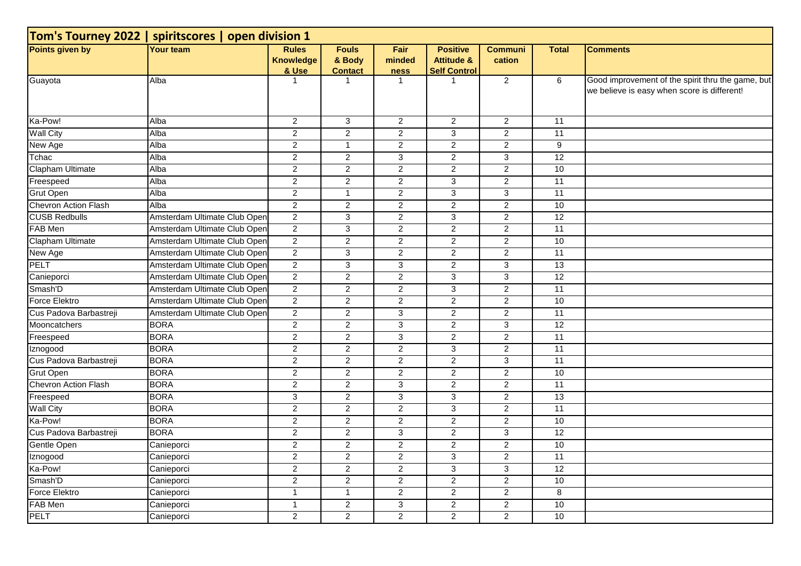| Tom's Tourney 2022   spiritscores   open division 1 |                              |                                           |                                          |                        |                                                                 |                          |                 |                                                                                                  |  |  |  |
|-----------------------------------------------------|------------------------------|-------------------------------------------|------------------------------------------|------------------------|-----------------------------------------------------------------|--------------------------|-----------------|--------------------------------------------------------------------------------------------------|--|--|--|
| Points given by                                     | Your team                    | <b>Rules</b><br><b>Knowledge</b><br>& Use | <b>Fouls</b><br>& Body<br><b>Contact</b> | Fair<br>minded<br>ness | <b>Positive</b><br><b>Attitude &amp;</b><br><b>Self Control</b> | <b>Communi</b><br>cation | <b>Total</b>    | <b>Comments</b>                                                                                  |  |  |  |
| Guayota                                             | Alba                         | -1                                        | -1                                       | $\mathbf 1$            | -1                                                              | $\overline{2}$           | 6               | Good improvement of the spirit thru the game, but<br>we believe is easy when score is different! |  |  |  |
| Ka-Pow!                                             | Alba                         | $\overline{2}$                            | 3                                        | 2                      | $\overline{2}$                                                  | $\overline{c}$           | 11              |                                                                                                  |  |  |  |
| <b>Wall City</b>                                    | Alba                         | $\overline{2}$                            | $\overline{2}$                           | $\overline{2}$         | $\overline{3}$                                                  | $\overline{2}$           | 11              |                                                                                                  |  |  |  |
| New Age                                             | Alba                         | $\overline{2}$                            | $\mathbf{1}$                             | $\overline{2}$         | $\overline{2}$                                                  | $\overline{2}$           | $\overline{9}$  |                                                                                                  |  |  |  |
| Tchac                                               | Alba                         | $\overline{2}$                            | $\overline{2}$                           | $\overline{\omega}$    | $\overline{2}$                                                  | $\overline{3}$           | 12              |                                                                                                  |  |  |  |
| Clapham Ultimate                                    | Alba                         | $\overline{2}$                            | $\overline{2}$                           | $\overline{2}$         | $\overline{2}$                                                  | $\overline{2}$           | 10              |                                                                                                  |  |  |  |
| Freespeed                                           | Alba                         | 2                                         | $\overline{2}$                           | 2                      | 3                                                               | $\overline{c}$           | 11              |                                                                                                  |  |  |  |
| <b>Grut Open</b>                                    | Alba                         | $\overline{2}$                            | $\mathbf{1}$                             | $\overline{2}$         | $\overline{3}$                                                  | $\overline{3}$           | 11              |                                                                                                  |  |  |  |
| Chevron Action Flash                                | Alba                         | 2                                         | $\overline{2}$                           | $\overline{2}$         | $\overline{2}$                                                  | $\overline{2}$           | 10              |                                                                                                  |  |  |  |
| <b>CUSB Redbulls</b>                                | Amsterdam Ultimate Club Open | $\overline{2}$                            | 3                                        | $\overline{2}$         | $\mathfrak{B}$                                                  | $\overline{c}$           | $\overline{12}$ |                                                                                                  |  |  |  |
| FAB Men                                             | Amsterdam Ultimate Club Open | $\overline{2}$                            | $\overline{3}$                           | $\overline{2}$         | $\mathbf{2}$                                                    | $\overline{2}$           | 11              |                                                                                                  |  |  |  |
| Clapham Ultimate                                    | Amsterdam Ultimate Club Open | $\overline{2}$                            | $\overline{a}$                           | 2                      | 2                                                               | $\overline{2}$           | 10              |                                                                                                  |  |  |  |
| New Age                                             | Amsterdam Ultimate Club Open | $\overline{2}$                            | $\overline{3}$                           | $\overline{2}$         | $\overline{2}$                                                  | $\overline{2}$           | 11              |                                                                                                  |  |  |  |
| PELT                                                | Amsterdam Ultimate Club Open | $\overline{2}$                            | $\overline{3}$                           | 3                      | $\overline{c}$                                                  | $\overline{3}$           | 13              |                                                                                                  |  |  |  |
| Canieporci                                          | Amsterdam Ultimate Club Open | $\overline{2}$                            | $\overline{a}$                           | $\overline{2}$         | 3                                                               | 3                        | 12              |                                                                                                  |  |  |  |
| Smash'D                                             | Amsterdam Ultimate Club Open | $\overline{2}$                            | $\overline{2}$                           | $\overline{2}$         | $\overline{\omega}$                                             | $\overline{2}$           | 11              |                                                                                                  |  |  |  |
| <b>Force Elektro</b>                                | Amsterdam Ultimate Club Open | $\overline{2}$                            | $\overline{2}$                           | $\overline{2}$         | $\overline{2}$                                                  | $\overline{2}$           | 10              |                                                                                                  |  |  |  |
| Cus Padova Barbastreji                              | Amsterdam Ultimate Club Open | $\overline{2}$                            | $\overline{2}$                           | 3                      | $\overline{2}$                                                  | $\overline{2}$           | 11              |                                                                                                  |  |  |  |
| Mooncatchers                                        | <b>BORA</b>                  | 2                                         | $\overline{2}$                           | $\overline{3}$         | $\overline{2}$                                                  | $\overline{3}$           | 12              |                                                                                                  |  |  |  |
| Freespeed                                           | <b>BORA</b>                  | $\overline{2}$                            | $\overline{2}$                           | 3                      | $\overline{2}$                                                  | $\overline{2}$           | 11              |                                                                                                  |  |  |  |
| Iznogood                                            | <b>BORA</b>                  | $\overline{2}$                            | $\overline{2}$                           | $\overline{2}$         | $\overline{\omega}$                                             | $\overline{2}$           | 11              |                                                                                                  |  |  |  |
| Cus Padova Barbastreji                              | <b>BORA</b>                  | $\overline{c}$                            | $\overline{2}$                           | $\overline{2}$         | $\overline{2}$                                                  | $\overline{3}$           | 11              |                                                                                                  |  |  |  |
| <b>Grut Open</b>                                    | <b>BORA</b>                  | $\overline{2}$                            | $\overline{2}$                           | 2                      | 2                                                               | $\overline{2}$           | 10              |                                                                                                  |  |  |  |
| Chevron Action Flash                                | <b>BORA</b>                  | $\overline{2}$                            | $\overline{2}$                           | 3                      | $\overline{2}$                                                  | $\overline{2}$           | 11              |                                                                                                  |  |  |  |
| Freespeed                                           | <b>BORA</b>                  | 3                                         | $\overline{a}$                           | 3                      | $\mathbf{3}$                                                    | $\overline{c}$           | $\overline{13}$ |                                                                                                  |  |  |  |
| <b>Wall City</b>                                    | <b>BORA</b>                  | $\overline{2}$                            | $\overline{2}$                           | $\overline{2}$         | $\overline{\omega}$                                             | $\overline{2}$           | 11              |                                                                                                  |  |  |  |
| Ka-Pow!                                             | <b>BORA</b>                  | $\overline{c}$                            | $\overline{2}$                           | $\overline{2}$         | 2                                                               | $\overline{2}$           | 10              |                                                                                                  |  |  |  |
| Cus Padova Barbastreji                              | <b>BORA</b>                  | 2                                         | $\overline{2}$                           | $\overline{3}$         | 2                                                               | $\overline{3}$           | 12              |                                                                                                  |  |  |  |
| Gentle Open                                         | Canieporci                   | $\overline{2}$                            | $\overline{2}$                           | $\overline{2}$         | $\overline{2}$                                                  | $\overline{2}$           | 10              |                                                                                                  |  |  |  |
| Iznogood                                            | Canieporci                   | $\overline{c}$                            | $\overline{2}$                           | $\overline{2}$         | $\overline{\omega}$                                             | $\overline{2}$           | 11              |                                                                                                  |  |  |  |
| Ka-Pow!                                             | Canieporci                   | $\overline{2}$                            | $\overline{a}$                           | $\overline{2}$         | $\mathbf{3}$                                                    | 3                        | 12              |                                                                                                  |  |  |  |
| Smash'D                                             | Canieporci                   | $\overline{c}$                            | $\overline{2}$                           | $\overline{2}$         | 2                                                               | $\overline{2}$           | 10              |                                                                                                  |  |  |  |
| Force Elektro                                       | Canieporci                   | $\overline{1}$                            | $\mathbf{1}$                             | $\overline{2}$         | $\overline{2}$                                                  | $\overline{c}$           | 8               |                                                                                                  |  |  |  |
| FAB Men                                             | Canieporci                   | $\mathbf{1}$                              | $\overline{2}$                           | $\overline{3}$         | $\overline{2}$                                                  | $\overline{2}$           | 10              |                                                                                                  |  |  |  |
| <b>PELT</b>                                         | Canieporci                   | $\overline{2}$                            | $\overline{2}$                           | $\overline{2}$         | 2                                                               | $\overline{2}$           | 10              |                                                                                                  |  |  |  |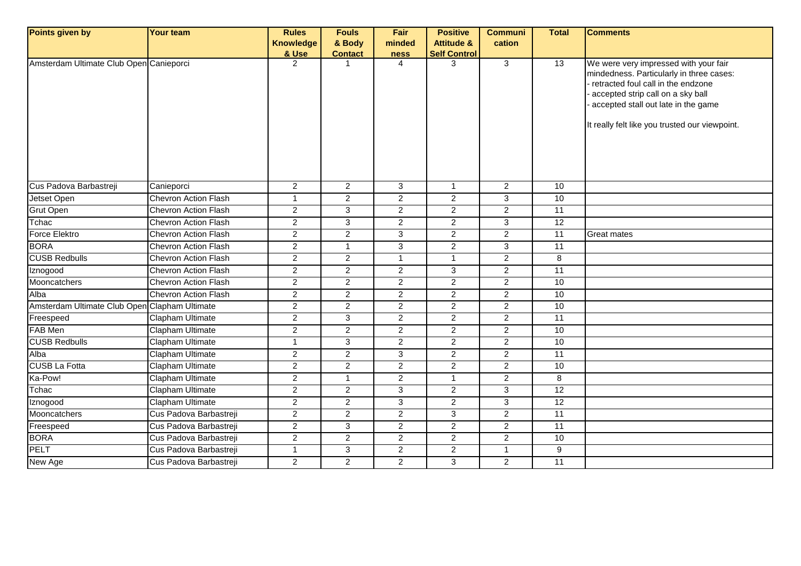| Points given by                               | Your team                   | <b>Rules</b>     | <b>Fouls</b>   | Fair           | <b>Positive</b>       | <b>Communi</b> | <b>Total</b>    | <b>Comments</b>                                                                                                                                                                                                                                       |
|-----------------------------------------------|-----------------------------|------------------|----------------|----------------|-----------------------|----------------|-----------------|-------------------------------------------------------------------------------------------------------------------------------------------------------------------------------------------------------------------------------------------------------|
|                                               |                             | <b>Knowledge</b> | & Body         | minded         | <b>Attitude &amp;</b> | cation         |                 |                                                                                                                                                                                                                                                       |
|                                               |                             | & Use            | <b>Contact</b> | ness           | <b>Self Control</b>   |                |                 |                                                                                                                                                                                                                                                       |
| Amsterdam Ultimate Club Open Canieporci       |                             | 2                |                | 4              | 3                     | $\overline{3}$ | $\overline{13}$ | We were very impressed with your fair<br>mindedness. Particularly in three cases:<br>retracted foul call in the endzone<br>accepted strip call on a sky ball<br>accepted stall out late in the game<br>It really felt like you trusted our viewpoint. |
| Cus Padova Barbastreji                        | Canieporci                  | $\overline{2}$   | $\overline{2}$ | $\overline{3}$ | $\overline{1}$        | $\overline{2}$ | 10              |                                                                                                                                                                                                                                                       |
| Jetset Open                                   | <b>Chevron Action Flash</b> | $\overline{1}$   | $\overline{c}$ | $\overline{2}$ | $\overline{2}$        | $\overline{3}$ | 10              |                                                                                                                                                                                                                                                       |
| Grut Open                                     | Chevron Action Flash        | $\boldsymbol{2}$ | 3              | $\overline{2}$ | 2                     | $\overline{a}$ | 11              |                                                                                                                                                                                                                                                       |
| Tchac                                         | <b>Chevron Action Flash</b> | $\overline{2}$   | 3              | $\overline{2}$ | $\overline{2}$        | $\overline{3}$ | 12              |                                                                                                                                                                                                                                                       |
| <b>Force Elektro</b>                          | <b>Chevron Action Flash</b> | $\overline{c}$   | $\overline{2}$ | 3              | $\overline{2}$        | $\overline{a}$ | $\overline{11}$ | Great mates                                                                                                                                                                                                                                           |
| <b>BORA</b>                                   | <b>Chevron Action Flash</b> | $\overline{c}$   | $\mathbf{1}$   | 3              | $\mathbf{2}$          | 3              | 11              |                                                                                                                                                                                                                                                       |
| <b>CUSB Redbulls</b>                          | <b>Chevron Action Flash</b> | $\overline{c}$   | $\overline{a}$ | $\mathbf{1}$   | $\overline{1}$        | $\overline{2}$ | 8               |                                                                                                                                                                                                                                                       |
| Iznogood                                      | <b>Chevron Action Flash</b> | $\overline{2}$   | $\overline{2}$ | $\overline{2}$ | 3                     | $\overline{a}$ | 11              |                                                                                                                                                                                                                                                       |
| Mooncatchers                                  | <b>Chevron Action Flash</b> | $\overline{2}$   | $\overline{2}$ | $\overline{2}$ | $\overline{2}$        | $\overline{2}$ | 10              |                                                                                                                                                                                                                                                       |
| Alba                                          | <b>Chevron Action Flash</b> | $\overline{2}$   | $\overline{2}$ | $\overline{2}$ | $\overline{2}$        | $\overline{2}$ | 10              |                                                                                                                                                                                                                                                       |
| Amsterdam Ultimate Club Open Clapham Ultimate |                             | $\overline{2}$   | $\overline{2}$ | $\overline{2}$ | $\overline{2}$        | $\overline{a}$ | 10              |                                                                                                                                                                                                                                                       |
| Freespeed                                     | <b>Clapham Ultimate</b>     | $\overline{2}$   | $\overline{3}$ | $\overline{2}$ | $\overline{2}$        | $\overline{2}$ | 11              |                                                                                                                                                                                                                                                       |
| FAB Men                                       | Clapham Ultimate            | $\overline{c}$   | $\overline{2}$ | $\overline{2}$ | $\overline{c}$        | $\overline{2}$ | 10              |                                                                                                                                                                                                                                                       |
| <b>CUSB Redbulls</b>                          | <b>Clapham Ultimate</b>     | $\overline{1}$   | $\overline{3}$ | $\overline{2}$ | $\overline{2}$        | $\overline{2}$ | 10              |                                                                                                                                                                                                                                                       |
| Alba                                          | <b>Clapham Ultimate</b>     | $\overline{2}$   | $\overline{2}$ | $\overline{3}$ | $\overline{2}$        | $\overline{2}$ | 11              |                                                                                                                                                                                                                                                       |
| <b>CUSB La Fotta</b>                          | Clapham Ultimate            | $\overline{c}$   | $\overline{2}$ | $\overline{2}$ | $\overline{2}$        | $\overline{a}$ | 10              |                                                                                                                                                                                                                                                       |
| Ka-Pow!                                       | Clapham Ultimate            | $\overline{2}$   | $\mathbf{1}$   | $\overline{2}$ | $\overline{1}$        | $\overline{2}$ | 8               |                                                                                                                                                                                                                                                       |
| Tchac                                         | Clapham Ultimate            | $\overline{2}$   | $\overline{2}$ | 3              | 2                     | 3              | 12              |                                                                                                                                                                                                                                                       |
| Iznogood                                      | Clapham Ultimate            | $\overline{c}$   | $\overline{2}$ | 3              | $\overline{2}$        | 3              | 12              |                                                                                                                                                                                                                                                       |
| Mooncatchers                                  | Cus Padova Barbastreji      | $\overline{c}$   | $\overline{2}$ | $\overline{2}$ | 3                     | $\overline{2}$ | 11              |                                                                                                                                                                                                                                                       |
| Freespeed                                     | Cus Padova Barbastreji      | $\overline{2}$   | 3              | $\overline{2}$ | 2                     | $\overline{2}$ | 11              |                                                                                                                                                                                                                                                       |
| <b>BORA</b>                                   | Cus Padova Barbastreji      | $\overline{2}$   | $\overline{2}$ | $\overline{2}$ | $\overline{2}$        | $\overline{2}$ | 10              |                                                                                                                                                                                                                                                       |
| PELT                                          | Cus Padova Barbastreji      | $\overline{1}$   | 3              | $\overline{2}$ | $\overline{2}$        | $\mathbf{1}$   | 9               |                                                                                                                                                                                                                                                       |
| New Age                                       | Cus Padova Barbastreji      | 2                | 2              | 2              | 3                     | $\overline{2}$ | 11              |                                                                                                                                                                                                                                                       |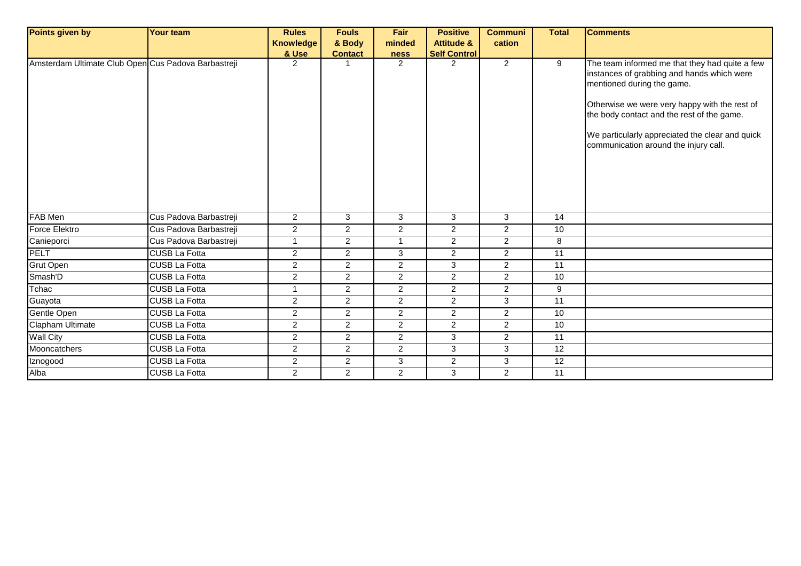| Points given by                                     | Your team              | <b>Rules</b>     | <b>Fouls</b>   | Fair           | <b>Positive</b>       | <b>Communi</b> | <b>Total</b>    | <b>Comments</b>                                                                                                                                                                                                                                                                                                       |
|-----------------------------------------------------|------------------------|------------------|----------------|----------------|-----------------------|----------------|-----------------|-----------------------------------------------------------------------------------------------------------------------------------------------------------------------------------------------------------------------------------------------------------------------------------------------------------------------|
|                                                     |                        | <b>Knowledge</b> | & Body         | minded         | <b>Attitude &amp;</b> | cation         |                 |                                                                                                                                                                                                                                                                                                                       |
|                                                     |                        | & Use            | <b>Contact</b> | ness           | <b>Self Control</b>   |                |                 |                                                                                                                                                                                                                                                                                                                       |
| Amsterdam Ultimate Club Open Cus Padova Barbastreji |                        | $\overline{2}$   |                | 2              | 2                     | $\overline{2}$ | 9               | The team informed me that they had quite a few<br>instances of grabbing and hands which were<br>mentioned during the game.<br>Otherwise we were very happy with the rest of<br>the body contact and the rest of the game.<br>We particularly appreciated the clear and quick<br>communication around the injury call. |
| FAB Men                                             | Cus Padova Barbastreji | $\overline{2}$   | 3              | 3              | 3                     | 3              | 14              |                                                                                                                                                                                                                                                                                                                       |
| Force Elektro                                       | Cus Padova Barbastreji | $\overline{c}$   | $\overline{2}$ | $\overline{2}$ | $\overline{2}$        | $\overline{a}$ | 10              |                                                                                                                                                                                                                                                                                                                       |
| Canieporci                                          | Cus Padova Barbastreji | $\mathbf{1}$     | $\overline{2}$ | $\mathbf{1}$   | 2                     | $\overline{2}$ | 8               |                                                                                                                                                                                                                                                                                                                       |
| PELT                                                | <b>CUSB La Fotta</b>   | $\overline{2}$   | $\overline{2}$ | 3              | $\overline{2}$        | $\overline{2}$ | 11              |                                                                                                                                                                                                                                                                                                                       |
| <b>Grut Open</b>                                    | <b>CUSB La Fotta</b>   | $\overline{2}$   | $\overline{2}$ | $\overline{2}$ | 3                     | $\overline{2}$ | 11              |                                                                                                                                                                                                                                                                                                                       |
| Smash'D                                             | <b>CUSB La Fotta</b>   | $\overline{2}$   | $\overline{2}$ | 2              | 2                     | $\overline{2}$ | 10              |                                                                                                                                                                                                                                                                                                                       |
| Tchac                                               | <b>CUSB La Fotta</b>   | 1                | $\overline{2}$ | $\overline{2}$ | $\overline{2}$        | $\overline{a}$ | $9\,$           |                                                                                                                                                                                                                                                                                                                       |
| Guayota                                             | <b>CUSB La Fotta</b>   | $\overline{2}$   | $\overline{2}$ | $\overline{2}$ | $\overline{2}$        | 3              | $\overline{11}$ |                                                                                                                                                                                                                                                                                                                       |
| Gentle Open                                         | <b>CUSB La Fotta</b>   | $\overline{2}$   | $\overline{2}$ | $\overline{2}$ | $\overline{2}$        | $\overline{a}$ | 10              |                                                                                                                                                                                                                                                                                                                       |
| Clapham Ultimate                                    | <b>CUSB La Fotta</b>   | $\overline{2}$   | $\overline{2}$ | 2              | $\overline{2}$        | $\overline{2}$ | 10              |                                                                                                                                                                                                                                                                                                                       |
| <b>Wall City</b>                                    | <b>CUSB La Fotta</b>   | $\overline{2}$   | $\overline{2}$ | $\overline{2}$ | 3                     | $\overline{2}$ | 11              |                                                                                                                                                                                                                                                                                                                       |
| Mooncatchers                                        | <b>CUSB La Fotta</b>   | $\overline{2}$   | $\overline{2}$ | 2              | 3                     | 3              | 12              |                                                                                                                                                                                                                                                                                                                       |
| Iznogood                                            | <b>CUSB La Fotta</b>   | $\overline{2}$   | $\overline{2}$ | 3              | $\overline{2}$        | 3              | 12              |                                                                                                                                                                                                                                                                                                                       |
| Alba                                                | <b>CUSB La Fotta</b>   | $\overline{2}$   | $\overline{2}$ | $\overline{2}$ | 3                     | $\overline{2}$ | 11              |                                                                                                                                                                                                                                                                                                                       |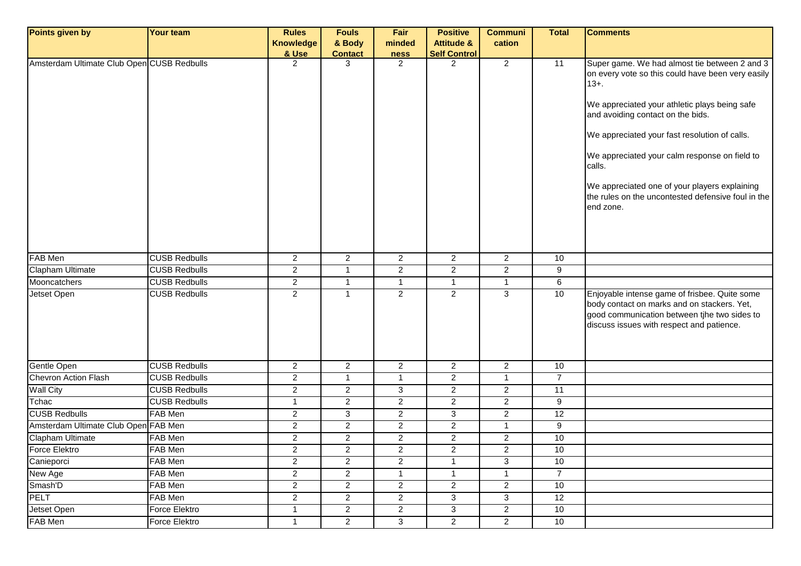| Points given by                            | <b>Your team</b>     | <b>Rules</b>            | <b>Fouls</b>   | Fair           | <b>Positive</b>       | <b>Communi</b>          | <b>Total</b>    | <b>Comments</b>                                                                                                                                                                                                                                                                                                                                                                                                                      |
|--------------------------------------------|----------------------|-------------------------|----------------|----------------|-----------------------|-------------------------|-----------------|--------------------------------------------------------------------------------------------------------------------------------------------------------------------------------------------------------------------------------------------------------------------------------------------------------------------------------------------------------------------------------------------------------------------------------------|
|                                            |                      | <b>Knowledge</b>        | & Body         | minded         | <b>Attitude &amp;</b> | cation                  |                 |                                                                                                                                                                                                                                                                                                                                                                                                                                      |
|                                            |                      | & Use                   | <b>Contact</b> | <b>ness</b>    | <b>Self Control</b>   |                         |                 |                                                                                                                                                                                                                                                                                                                                                                                                                                      |
| Amsterdam Ultimate Club Open CUSB Redbulls |                      | 2                       | 3              | $\overline{2}$ | $\overline{2}$        | $\overline{2}$          | $\overline{11}$ | Super game. We had almost tie between 2 and 3<br>on every vote so this could have been very easily<br>$13 + .$<br>We appreciated your athletic plays being safe<br>and avoiding contact on the bids.<br>We appreciated your fast resolution of calls.<br>We appreciated your calm response on field to<br>calls.<br>We appreciated one of your players explaining<br>the rules on the uncontested defensive foul in the<br>end zone. |
| FAB Men                                    | <b>CUSB Redbulls</b> | $\mathbf{2}$            | $\overline{2}$ | $\mathbf{2}$   | $\overline{2}$        | $\overline{a}$          | 10              |                                                                                                                                                                                                                                                                                                                                                                                                                                      |
| <b>Clapham Ultimate</b>                    | <b>CUSB Redbulls</b> | $\overline{2}$          | $\mathbf{1}$   | $\overline{2}$ | $\overline{2}$        | $\overline{2}$          | 9               |                                                                                                                                                                                                                                                                                                                                                                                                                                      |
| Mooncatchers                               | <b>CUSB Redbulls</b> | $\overline{2}$          | $\mathbf{1}$   | $\mathbf{1}$   | $\overline{1}$        | $\mathbf{1}$            | $6\overline{6}$ |                                                                                                                                                                                                                                                                                                                                                                                                                                      |
| Jetset Open                                | <b>CUSB Redbulls</b> | $\overline{2}$          | $\mathbf{1}$   | 2              | $\overline{2}$        | 3                       | 10              | Enjoyable intense game of frisbee. Quite some<br>body contact on marks and on stackers. Yet,<br>good communication between tjhe two sides to<br>discuss issues with respect and patience.                                                                                                                                                                                                                                            |
| Gentle Open                                | <b>CUSB Redbulls</b> | $\overline{a}$          | $\overline{2}$ | $\overline{2}$ | $\overline{2}$        | $\overline{2}$          | 10              |                                                                                                                                                                                                                                                                                                                                                                                                                                      |
| Chevron Action Flash                       | <b>CUSB Redbulls</b> | $\overline{c}$          | $\mathbf{1}$   | $\mathbf{1}$   | $\overline{2}$        | $\mathbf{1}$            | $\overline{7}$  |                                                                                                                                                                                                                                                                                                                                                                                                                                      |
| <b>Wall City</b>                           | <b>CUSB Redbulls</b> | $\overline{\mathbf{c}}$ | $\overline{2}$ | 3              | $\overline{2}$        | $\overline{c}$          | $\overline{11}$ |                                                                                                                                                                                                                                                                                                                                                                                                                                      |
| Tchac                                      | <b>CUSB Redbulls</b> | $\mathbf{1}$            | $\overline{2}$ | $\overline{2}$ | $\overline{2}$        | $\overline{c}$          | 9               |                                                                                                                                                                                                                                                                                                                                                                                                                                      |
| <b>CUSB Redbulls</b>                       | FAB Men              | $\overline{\mathbf{c}}$ | 3              | $\mathbf{2}$   | 3                     | $\overline{\mathbf{c}}$ | 12              |                                                                                                                                                                                                                                                                                                                                                                                                                                      |
| Amsterdam Ultimate Club Open FAB Men       |                      | 2                       | $\overline{2}$ | $\mathbf{2}$   | $\overline{2}$        | $\mathbf{1}$            | 9               |                                                                                                                                                                                                                                                                                                                                                                                                                                      |
| Clapham Ultimate                           | FAB Men              | $\mathbf{2}^{\prime}$   | $\overline{2}$ | $\overline{2}$ | $\overline{2}$        | $\overline{c}$          | $10$            |                                                                                                                                                                                                                                                                                                                                                                                                                                      |
| Force Elektro                              | FAB Men              | $\overline{c}$          | $\overline{c}$ | 2              | $\overline{2}$        | $\overline{c}$          | 10              |                                                                                                                                                                                                                                                                                                                                                                                                                                      |
| Canieporci                                 | FAB Men              | $\overline{c}$          | $\overline{2}$ | $\overline{2}$ | $\overline{1}$        | $\overline{3}$          | 10              |                                                                                                                                                                                                                                                                                                                                                                                                                                      |
| New Age                                    | FAB Men              | $\overline{a}$          | $\overline{2}$ | $\mathbf{1}$   | $\overline{1}$        | $\overline{1}$          | $\overline{7}$  |                                                                                                                                                                                                                                                                                                                                                                                                                                      |
| Smash'D                                    | FAB Men              | $\overline{2}$          | $\overline{2}$ | $\mathbf{2}$   | $\overline{2}$        | $\overline{2}$          | 10              |                                                                                                                                                                                                                                                                                                                                                                                                                                      |
| PELT                                       | FAB Men              | $\overline{a}$          | $\overline{a}$ | $\overline{c}$ | 3                     | 3                       | $\overline{12}$ |                                                                                                                                                                                                                                                                                                                                                                                                                                      |
| Jetset Open                                | Force Elektro        | $\mathbf{1}$            | $\overline{2}$ | $\overline{c}$ | $\mathbf{3}$          | $\overline{a}$          | $10$            |                                                                                                                                                                                                                                                                                                                                                                                                                                      |
| FAB Men                                    | Force Elektro        | $\mathbf{1}$            | $\overline{2}$ | $\overline{3}$ | $\overline{2}$        | $\overline{2}$          | 10              |                                                                                                                                                                                                                                                                                                                                                                                                                                      |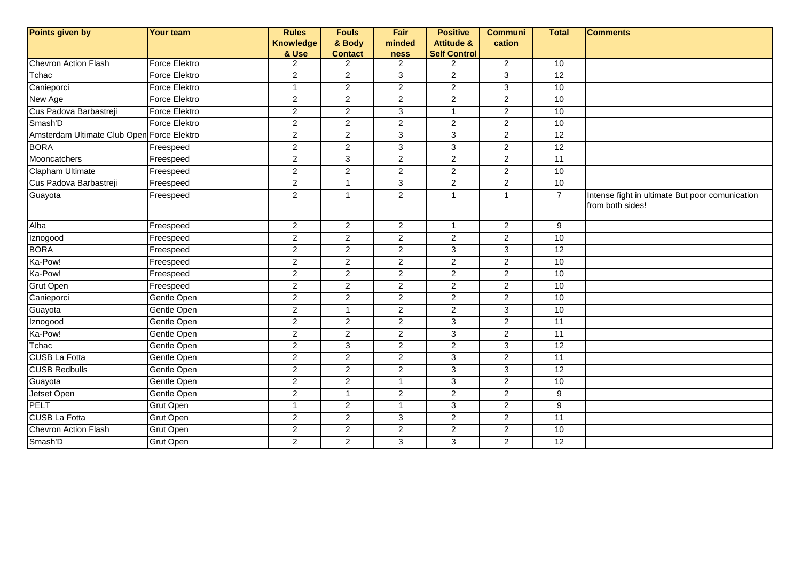| Points given by                            | <b>Your team</b>     | <b>Rules</b>            | <b>Fouls</b>                     | Fair                   | <b>Positive</b>                       | <b>Communi</b> | <b>Total</b>    | <b>Comments</b>                                                     |
|--------------------------------------------|----------------------|-------------------------|----------------------------------|------------------------|---------------------------------------|----------------|-----------------|---------------------------------------------------------------------|
|                                            |                      | <b>Knowledge</b>        | & Body                           | minded                 | <b>Attitude &amp;</b>                 | cation         |                 |                                                                     |
| Chevron Action Flash                       | Force Elektro        | & Use<br>$\overline{2}$ | <b>Contact</b><br>$\overline{2}$ | ness<br>$\overline{2}$ | <b>Self Control</b><br>$\overline{2}$ | $\overline{2}$ | 10              |                                                                     |
| Tchac                                      | Force Elektro        | $\overline{a}$          | $\overline{2}$                   | $\mathbf{3}$           | $\overline{2}$                        | 3              | 12              |                                                                     |
| Canieporci                                 | <b>Force Elektro</b> | $\mathbf{1}$            | $\overline{2}$                   | 2                      | $\overline{2}$                        | 3              | 10              |                                                                     |
| New Age                                    | Force Elektro        | $\overline{2}$          | $\overline{2}$                   | $\overline{c}$         | $\overline{c}$                        | $\overline{c}$ | 10              |                                                                     |
| Cus Padova Barbastreji                     | <b>Force Elektro</b> | $\overline{c}$          | $\overline{2}$                   | $\overline{3}$         | $\mathbf{1}$                          | $\overline{2}$ | 10              |                                                                     |
| Smash'D                                    | Force Elektro        | $\overline{2}$          | $\overline{2}$                   | $\overline{2}$         | $\overline{2}$                        | $\overline{2}$ | 10              |                                                                     |
| Amsterdam Ultimate Club Open Force Elektro |                      | $\overline{a}$          | $\mathbf{2}$                     | $\mathbf{3}$           | 3                                     | $\overline{a}$ | 12              |                                                                     |
| <b>BORA</b>                                | Freespeed            | $\overline{2}$          | $\overline{2}$                   | 3                      | 3                                     | $\overline{2}$ | 12              |                                                                     |
| Mooncatchers                               |                      | $\overline{2}$          | $\overline{3}$                   | $\overline{2}$         | $\overline{2}$                        | $\overline{2}$ | 11              |                                                                     |
|                                            | Freespeed            |                         |                                  |                        |                                       |                |                 |                                                                     |
| Clapham Ultimate<br>Cus Padova Barbastreji | Freespeed            | $\overline{c}$          | $\overline{2}$                   | $\sqrt{2}$             | $\overline{a}$                        | $\overline{c}$ | 10              |                                                                     |
|                                            | Freespeed            | $\overline{2}$          | $\mathbf{1}$                     | $\overline{3}$         | $\overline{2}$                        | $\overline{2}$ | 10              |                                                                     |
| Guayota                                    | Freespeed            | $\overline{a}$          | $\mathbf{1}$                     | $\overline{2}$         | $\mathbf{1}$                          | $\mathbf{1}$   | $\overline{7}$  | Intense fight in ultimate But poor comunication<br>from both sides! |
| Alba                                       | Freespeed            | $\overline{2}$          | $\overline{2}$                   | $\overline{2}$         | $\mathbf{1}$                          | $\overline{2}$ | 9               |                                                                     |
| Iznogood                                   | Freespeed            | $\overline{2}$          | $\overline{2}$                   | 2                      | $\overline{2}$                        | $\overline{2}$ | 10              |                                                                     |
| <b>BORA</b>                                | Freespeed            | $\overline{2}$          | $\overline{2}$                   | $\overline{2}$         | 3                                     | $\overline{3}$ | 12              |                                                                     |
| Ka-Pow!                                    | Freespeed            | $\overline{2}$          | $\overline{2}$                   | $\overline{c}$         | $\overline{2}$                        | $\overline{2}$ | 10              |                                                                     |
| Ka-Pow!                                    | Freespeed            | $\overline{2}$          | $\overline{2}$                   | $\overline{c}$         | $\overline{c}$                        | $\overline{c}$ | 10              |                                                                     |
| Grut Open                                  | Freespeed            | $\overline{c}$          | $\overline{2}$                   | $\overline{2}$         | $\overline{2}$                        | $\overline{2}$ | 10              |                                                                     |
| Canieporci                                 | Gentle Open          | $\overline{2}$          | $\overline{2}$                   | $\overline{2}$         | $\overline{2}$                        | $\overline{2}$ | 10              |                                                                     |
| Guayota                                    | Gentle Open          | $\overline{a}$          | $\mathbf{1}$                     | $\sqrt{2}$             | $\overline{c}$                        | 3              | 10              |                                                                     |
| Iznogood                                   | Gentle Open          | $\overline{a}$          | $\overline{2}$                   | $\overline{2}$         | 3                                     | $\overline{2}$ | $\overline{11}$ |                                                                     |
| Ka-Pow!                                    | Gentle Open          | $\overline{a}$          | $\overline{2}$                   | $\overline{c}$         | 3                                     | $\overline{2}$ | $\overline{11}$ |                                                                     |
| Tchac                                      | Gentle Open          | $\overline{2}$          | $\overline{3}$                   | $\overline{2}$         | $\overline{2}$                        | $\overline{3}$ | 12              |                                                                     |
| <b>CUSB La Fotta</b>                       | Gentle Open          | $\overline{2}$          | $\overline{2}$                   | $\overline{c}$         | 3                                     | $\overline{2}$ | 11              |                                                                     |
| <b>CUSB Redbulls</b>                       | Gentle Open          | $\overline{2}$          | $\overline{2}$                   | $\overline{2}$         | 3                                     | 3              | 12              |                                                                     |
| Guayota                                    | Gentle Open          | $\overline{c}$          | $\overline{2}$                   | $\overline{1}$         | $\overline{3}$                        | $\overline{2}$ | 10              |                                                                     |
| Jetset Open                                | Gentle Open          | $\overline{2}$          | $\mathbf{1}$                     | $\overline{2}$         | $\overline{2}$                        | $\overline{2}$ | 9               |                                                                     |
| <b>PELT</b>                                | Grut Open            | $\mathbf{1}$            | $\mathbf{2}$                     | $\overline{1}$         | 3                                     | $\overline{c}$ | $9\,$           |                                                                     |
| <b>CUSB La Fotta</b>                       | <b>Grut Open</b>     | $\overline{2}$          | $\overline{2}$                   | 3                      | $\overline{2}$                        | $\overline{2}$ | 11              |                                                                     |
| Chevron Action Flash                       | <b>Grut Open</b>     | $\overline{c}$          | $\overline{2}$                   | $\overline{c}$         | $\overline{2}$                        | $\overline{a}$ | 10              |                                                                     |
| Smash'D                                    | <b>Grut Open</b>     | $\overline{2}$          | $\overline{2}$                   | $\overline{3}$         | 3                                     | $\overline{2}$ | 12              |                                                                     |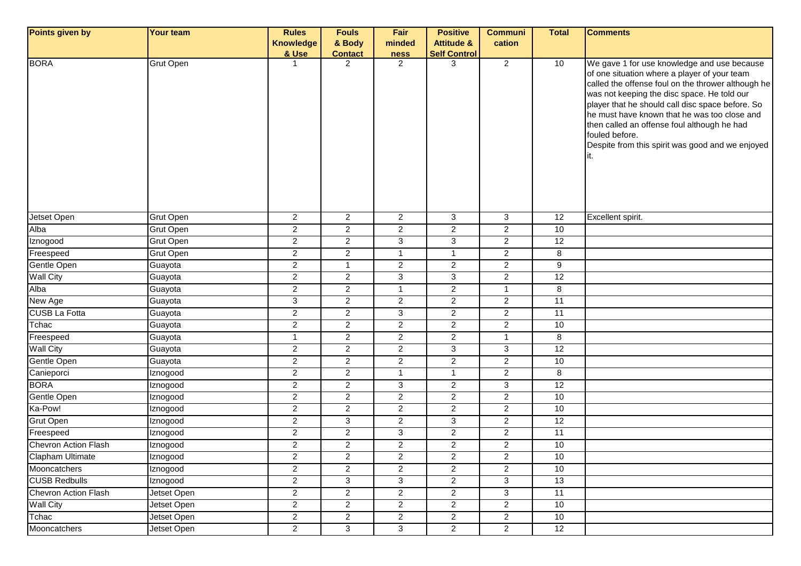| Points given by      | <b>Your team</b> | <b>Rules</b>            | <b>Fouls</b>            | Fair           | <b>Positive</b>       | <b>Communi</b>          | <b>Total</b>    | <b>Comments</b>                                                                                                                                                                                                                                                                                                                                                                                                           |
|----------------------|------------------|-------------------------|-------------------------|----------------|-----------------------|-------------------------|-----------------|---------------------------------------------------------------------------------------------------------------------------------------------------------------------------------------------------------------------------------------------------------------------------------------------------------------------------------------------------------------------------------------------------------------------------|
|                      |                  | <b>Knowledge</b>        | & Body                  | minded         | <b>Attitude &amp;</b> | cation                  |                 |                                                                                                                                                                                                                                                                                                                                                                                                                           |
|                      |                  | & Use                   | <b>Contact</b>          | <b>ness</b>    | <b>Self Control</b>   |                         |                 |                                                                                                                                                                                                                                                                                                                                                                                                                           |
| <b>BORA</b>          | <b>Grut Open</b> | 1                       | $\overline{2}$          | 2              | 3                     | $\overline{2}$          | 10              | We gave 1 for use knowledge and use because<br>of one situation where a player of your team<br>called the offense foul on the thrower although he<br>was not keeping the disc space. He told our<br>player that he should call disc space before. So<br>he must have known that he was too close and<br>then called an offense foul although he had<br>fouled before.<br>Despite from this spirit was good and we enjoyed |
| Jetset Open          | <b>Grut Open</b> | $\overline{a}$          | $\overline{a}$          | $\overline{2}$ | 3                     | 3                       | 12              | Excellent spirit.                                                                                                                                                                                                                                                                                                                                                                                                         |
| Alba                 | <b>Grut Open</b> | 2                       | $\overline{2}$          | $\overline{2}$ | $\overline{2}$        | $\overline{c}$          | 10              |                                                                                                                                                                                                                                                                                                                                                                                                                           |
| Iznogood             | <b>Grut Open</b> | $\overline{a}$          | $\overline{a}$          | 3              | 3                     | $\overline{c}$          | 12              |                                                                                                                                                                                                                                                                                                                                                                                                                           |
| Freespeed            | <b>Grut Open</b> | $\overline{a}$          | $\overline{a}$          | $\overline{1}$ | $\overline{1}$        | $\overline{c}$          | 8               |                                                                                                                                                                                                                                                                                                                                                                                                                           |
| Gentle Open          | Guayota          | $\overline{2}$          | $\mathbf{1}$            | $\overline{2}$ | $\overline{2}$        | $\overline{2}$          | $\overline{9}$  |                                                                                                                                                                                                                                                                                                                                                                                                                           |
| <b>Wall City</b>     | Guayota          | $\overline{\mathbf{c}}$ | $\overline{a}$          | 3              | $\mathbf{3}$          | $\overline{\mathbf{c}}$ | 12              |                                                                                                                                                                                                                                                                                                                                                                                                                           |
| Alba                 | Guayota          | $\overline{c}$          | $\overline{c}$          | $\mathbf{1}$   | $\mathbf{2}$          | $\mathbf{1}$            | 8               |                                                                                                                                                                                                                                                                                                                                                                                                                           |
| New Age              | Guayota          | 3                       | $\overline{2}$          | $\overline{2}$ | $\mathbf{2}$          | $\overline{c}$          | $\overline{11}$ |                                                                                                                                                                                                                                                                                                                                                                                                                           |
| <b>CUSB La Fotta</b> | Guayota          | $\overline{a}$          | $\overline{2}$          | $\mathbf{3}$   | $\overline{2}$        | $\overline{c}$          | 11              |                                                                                                                                                                                                                                                                                                                                                                                                                           |
| Tchac                | Guayota          | $\overline{c}$          | $\overline{2}$          | $\overline{2}$ | $\overline{2}$        | $\overline{2}$          | 10              |                                                                                                                                                                                                                                                                                                                                                                                                                           |
| Freespeed            | Guayota          | $\mathbf{1}$            | $\overline{2}$          | $\overline{2}$ | $\overline{c}$        | $\mathbf{1}$            | 8               |                                                                                                                                                                                                                                                                                                                                                                                                                           |
| <b>Wall City</b>     | Guayota          | $\overline{2}$          | $\overline{a}$          | $\overline{2}$ | $\mathbf{3}$          | 3                       | 12              |                                                                                                                                                                                                                                                                                                                                                                                                                           |
| Gentle Open          | Guayota          | $\overline{2}$          | $\overline{a}$          | $\overline{2}$ | $\overline{2}$        | $\overline{2}$          | 10              |                                                                                                                                                                                                                                                                                                                                                                                                                           |
| Canieporci           | Iznogood         | $\overline{2}$          | $\overline{a}$          | $\overline{1}$ | -1                    | $\overline{2}$          | 8               |                                                                                                                                                                                                                                                                                                                                                                                                                           |
| <b>BORA</b>          | Iznogood         | $\overline{2}$          | $\overline{a}$          | $\mathbf{3}$   | $\overline{2}$        | 3                       | 12              |                                                                                                                                                                                                                                                                                                                                                                                                                           |
| Gentle Open          | Iznogood         | $\overline{c}$          | $\overline{2}$          | $\overline{2}$ | $\overline{2}$        | $\overline{2}$          | 10              |                                                                                                                                                                                                                                                                                                                                                                                                                           |
| Ka-Pow!              | Iznogood         | 2                       | $\overline{\mathbf{c}}$ | $\overline{2}$ | $\overline{2}$        | $\overline{\mathbf{c}}$ | 10              |                                                                                                                                                                                                                                                                                                                                                                                                                           |
| Grut Open            | Iznogood         | $\overline{c}$          | 3                       | $\overline{2}$ | $\mathbf{3}$          | $\overline{c}$          | 12              |                                                                                                                                                                                                                                                                                                                                                                                                                           |
| Freespeed            | Iznogood         | $\overline{2}$          | $\overline{a}$          | 3              | $\overline{2}$        | $\overline{a}$          | 11              |                                                                                                                                                                                                                                                                                                                                                                                                                           |
| Chevron Action Flash | Iznogood         | $\overline{c}$          | $\overline{a}$          | $\overline{2}$ | $\overline{c}$        | $\overline{2}$          | 10              |                                                                                                                                                                                                                                                                                                                                                                                                                           |
| Clapham Ultimate     | Iznogood         | $\overline{\mathbf{c}}$ | $\overline{c}$          | $\mathbf{2}$   | $\overline{c}$        | $\overline{\mathbf{c}}$ | 10              |                                                                                                                                                                                                                                                                                                                                                                                                                           |
| Mooncatchers         | Iznogood         | $\overline{2}$          | $\overline{2}$          | $\overline{2}$ | $\overline{2}$        | $\overline{2}$          | 10              |                                                                                                                                                                                                                                                                                                                                                                                                                           |
| <b>CUSB Redbulls</b> | Iznogood         | $\overline{a}$          | 3                       | 3              | $\mathbf{2}$          | 3                       | 13              |                                                                                                                                                                                                                                                                                                                                                                                                                           |
| Chevron Action Flash | Jetset Open      | $\overline{a}$          | $\overline{2}$          | $\overline{2}$ | $\mathbf{2}$          | $\overline{3}$          | $\overline{11}$ |                                                                                                                                                                                                                                                                                                                                                                                                                           |
| <b>Wall City</b>     | Jetset Open      | $\overline{c}$          | $\overline{2}$          | $\overline{2}$ | $\overline{2}$        | $\overline{2}$          | 10              |                                                                                                                                                                                                                                                                                                                                                                                                                           |
| Tchac                | Jetset Open      | $\overline{c}$          | $\overline{2}$          | $\overline{2}$ | $\overline{2}$        | $\overline{2}$          | 10              |                                                                                                                                                                                                                                                                                                                                                                                                                           |
| Mooncatchers         | Jetset Open      | $\overline{2}$          | 3                       | $\overline{3}$ | $\overline{2}$        | $\overline{2}$          | 12              |                                                                                                                                                                                                                                                                                                                                                                                                                           |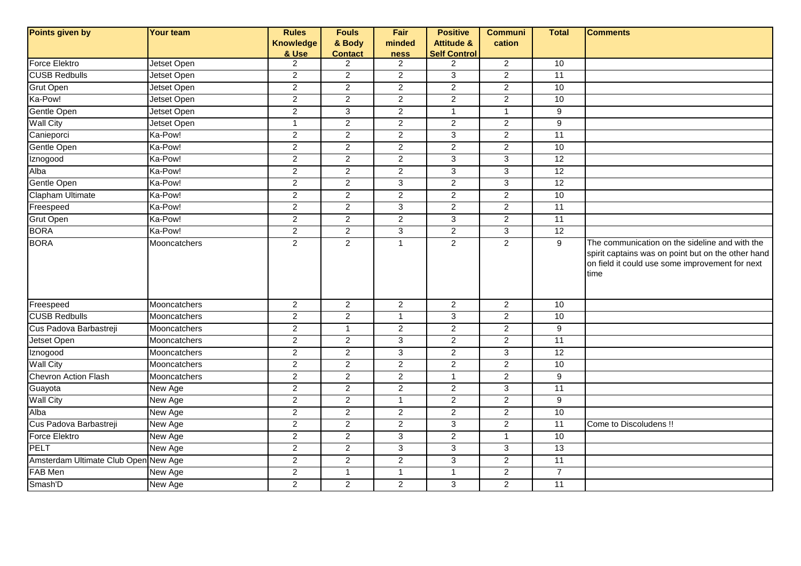| Points given by                      | Your team           | <b>Rules</b><br><b>Knowledge</b><br>& Use | <b>Fouls</b><br>& Body<br><b>Contact</b> | Fair<br>minded<br>ness  | <b>Positive</b><br><b>Attitude &amp;</b><br><b>Self Control</b> | <b>Communi</b><br>cation | <b>Total</b>    | <b>Comments</b>                                                                                                                                                 |
|--------------------------------------|---------------------|-------------------------------------------|------------------------------------------|-------------------------|-----------------------------------------------------------------|--------------------------|-----------------|-----------------------------------------------------------------------------------------------------------------------------------------------------------------|
| Force Elektro                        | Jetset Open         | $\overline{2}$                            | $\overline{2}$                           | 2                       | $\overline{2}$                                                  | $\overline{2}$           | 10              |                                                                                                                                                                 |
| <b>CUSB Redbulls</b>                 | Jetset Open         | $\overline{a}$                            | $\sqrt{2}$                               | $\boldsymbol{2}$        | 3                                                               | $\overline{2}$           | $\overline{11}$ |                                                                                                                                                                 |
| Grut Open                            | Jetset Open         | $\overline{2}$                            | $\overline{2}$                           | $\overline{c}$          | $\overline{2}$                                                  | $\overline{2}$           | 10              |                                                                                                                                                                 |
| Ka-Pow!                              | Jetset Open         | $\overline{2}$                            | $\overline{2}$                           | $\overline{2}$          | $\overline{2}$                                                  | $\overline{2}$           | 10              |                                                                                                                                                                 |
| Gentle Open                          | Jetset Open         | $\overline{2}$                            | $\overline{3}$                           | $\overline{2}$          | $\mathbf{1}$                                                    | $\mathbf{1}$             | $\overline{9}$  |                                                                                                                                                                 |
| <b>Wall City</b>                     | Jetset Open         | $\mathbf{1}$                              | $\overline{2}$                           | $\overline{2}$          | $\overline{2}$                                                  | $\overline{2}$           | 9               |                                                                                                                                                                 |
| Canieporci                           | Ka-Pow!             | $\overline{2}$                            | $\overline{2}$                           | $\overline{2}$          | $\overline{3}$                                                  | $\overline{2}$           | 11              |                                                                                                                                                                 |
| Gentle Open                          | Ka-Pow!             | $\overline{2}$                            | $\overline{2}$                           | $\overline{2}$          | $\overline{2}$                                                  | $\overline{2}$           | 10              |                                                                                                                                                                 |
| Iznogood                             | Ka-Pow!             | $\mathbf{2}^{\prime}$                     | $\overline{2}$                           | $\overline{2}$          | 3                                                               | 3                        | $\overline{12}$ |                                                                                                                                                                 |
| Alba                                 | Ka-Pow!             | $\overline{2}$                            | $\boldsymbol{2}$                         | $\overline{\mathbf{c}}$ | 3                                                               | $\mathbf{3}$             | 12              |                                                                                                                                                                 |
| Gentle Open                          | Ka-Pow!             | $\overline{2}$                            | $\overline{2}$                           | ن                       | $\overline{a}$                                                  | $\overline{3}$           | 12              |                                                                                                                                                                 |
| Clapham Ultimate                     | Ka-Pow!             | $\overline{2}$                            | $\overline{2}$                           | $\overline{2}$          | $\overline{a}$                                                  | $\overline{2}$           | 10              |                                                                                                                                                                 |
| Freespeed                            | Ka-Pow!             | $\overline{2}$                            | $\overline{2}$                           | $\overline{3}$          | $\overline{2}$                                                  | $\overline{2}$           | 11              |                                                                                                                                                                 |
| <b>Grut Open</b>                     | Ka-Pow!             | $\overline{2}$                            | $\overline{2}$                           | $\overline{2}$          | 3                                                               | $\overline{2}$           | 11              |                                                                                                                                                                 |
| <b>BORA</b>                          | Ka-Pow!             | $\overline{2}$                            | $\overline{2}$                           | $\overline{3}$          | $\overline{2}$                                                  | $\overline{3}$           | 12              |                                                                                                                                                                 |
| <b>BORA</b>                          | Mooncatchers        | $\overline{2}$                            | 2                                        | $\overline{1}$          | $\overline{2}$                                                  | $\overline{2}$           | 9               | The communication on the sideline and with the<br>spirit captains was on point but on the other hand<br>on field it could use some improvement for next<br>time |
| Freespeed                            | Mooncatchers        | $\overline{2}$                            | $\overline{2}$                           | $\sqrt{2}$              | $\overline{a}$                                                  | $\overline{2}$           | 10              |                                                                                                                                                                 |
| <b>CUSB Redbulls</b>                 | <b>Mooncatchers</b> | $\overline{2}$                            | 2                                        | $\overline{1}$          | 3                                                               | $\overline{2}$           | 10              |                                                                                                                                                                 |
| Cus Padova Barbastreji               | Mooncatchers        | $\overline{2}$                            | $\mathbf{1}$                             | $\overline{2}$          | $\overline{2}$                                                  | $\overline{2}$           | 9               |                                                                                                                                                                 |
| Jetset Open                          | Mooncatchers        | $\overline{2}$                            | $\overline{2}$                           | $\overline{3}$          | $\overline{2}$                                                  | $\overline{2}$           | 11              |                                                                                                                                                                 |
| Iznogood                             | Mooncatchers        | $\overline{2}$                            | $\overline{2}$                           | $\overline{3}$          | $\overline{2}$                                                  | $\overline{3}$           | 12              |                                                                                                                                                                 |
| <b>Wall City</b>                     | Mooncatchers        | $\overline{2}$                            | $\overline{2}$                           | $\overline{2}$          | $\overline{2}$                                                  | $\overline{2}$           | 10              |                                                                                                                                                                 |
| Chevron Action Flash                 | Mooncatchers        | $\overline{2}$                            | $\overline{2}$                           | $\overline{2}$          | $\mathbf{1}$                                                    | $\overline{2}$           | $9\,$           |                                                                                                                                                                 |
| Guayota                              | New Age             | $\overline{2}$                            | $\overline{2}$                           | $\overline{2}$          | $\overline{c}$                                                  | $\overline{3}$           | 11              |                                                                                                                                                                 |
| <b>Wall City</b>                     | New Age             | $\mathbf{2}^{\prime}$                     | $\overline{a}$                           | $\overline{1}$          | $\overline{a}$                                                  | $\overline{a}$           | 9               |                                                                                                                                                                 |
| Alba                                 | New Age             | $\overline{2}$                            | $\overline{2}$                           | 2                       | $\overline{2}$                                                  | $\overline{2}$           | 10              |                                                                                                                                                                 |
| Cus Padova Barbastreji               | New Age             | $\overline{2}$                            | $\overline{2}$                           | $\overline{2}$          | $\overline{3}$                                                  | $\overline{2}$           | 11              | Come to Discoludens !!                                                                                                                                          |
| Force Elektro                        | New Age             | $\overline{2}$                            | $\overline{2}$                           | 3                       | $\overline{2}$                                                  | $\mathbf{1}$             | 10              |                                                                                                                                                                 |
| PELT                                 | New Age             | $\overline{2}$                            | 2                                        | 3                       | 3                                                               | $\overline{3}$           | 13              |                                                                                                                                                                 |
| Amsterdam Ultimate Club Open New Age |                     | $\overline{2}$                            | $\overline{2}$                           | $\overline{2}$          | $\overline{3}$                                                  | $\overline{2}$           | $\overline{11}$ |                                                                                                                                                                 |
| FAB Men                              | New Age             | $\overline{2}$                            | $\mathbf{1}$                             | $\mathbf{1}$            | $\mathbf{1}$                                                    | $\overline{2}$           | $\overline{7}$  |                                                                                                                                                                 |
| Smash'D                              | New Age             | $\overline{2}$                            | $\overline{2}$                           | $\overline{2}$          | 3                                                               | $\overline{2}$           | 11              |                                                                                                                                                                 |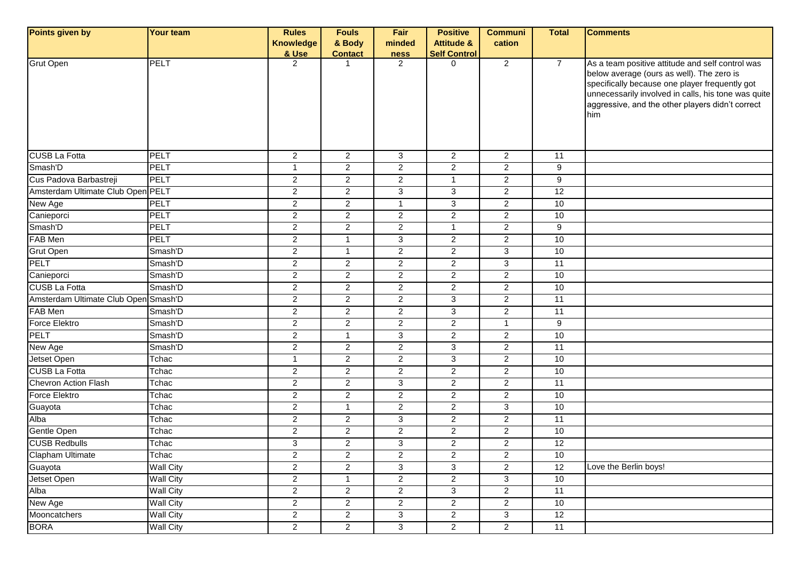| Points given by                      | <b>Your team</b> | <b>Rules</b>            | <b>Fouls</b>            | Fair           | <b>Positive</b>       | <b>Communi</b>        | <b>Total</b>   | <b>Comments</b>                                                                                                                                                                                                                                                   |
|--------------------------------------|------------------|-------------------------|-------------------------|----------------|-----------------------|-----------------------|----------------|-------------------------------------------------------------------------------------------------------------------------------------------------------------------------------------------------------------------------------------------------------------------|
|                                      |                  | <b>Knowledge</b>        | & Body                  | minded         | <b>Attitude &amp;</b> | cation                |                |                                                                                                                                                                                                                                                                   |
|                                      |                  | & Use                   | <b>Contact</b>          | <b>ness</b>    | <b>Self Control</b>   |                       |                |                                                                                                                                                                                                                                                                   |
| <b>Grut Open</b>                     | <b>PELT</b>      | 2                       | 1                       | $\overline{2}$ | $\Omega$              | $\overline{2}$        | $\overline{7}$ | As a team positive attitude and self control was<br>below average (ours as well). The zero is<br>specifically because one player frequently got<br>unnecessarily involved in calls, his tone was quite<br>aggressive, and the other players didn't correct<br>him |
| <b>CUSB La Fotta</b>                 | PELT             | $\overline{2}$          | $\overline{2}$          | 3              | $\overline{2}$        | $\overline{2}$        | 11             |                                                                                                                                                                                                                                                                   |
| Smash'D                              | PELT             | $\mathbf{1}$            | $\overline{c}$          | $\overline{2}$ | $\overline{2}$        | $\overline{2}$        | 9              |                                                                                                                                                                                                                                                                   |
| Cus Padova Barbastreji               | PELT             | $\overline{2}$          | $\overline{2}$          | $\overline{2}$ | $\overline{1}$        | $\overline{2}$        | 9              |                                                                                                                                                                                                                                                                   |
| Amsterdam Ultimate Club Open PELT    |                  | $\overline{c}$          | $\overline{2}$          | 3              | 3                     | $\overline{2}$        | 12             |                                                                                                                                                                                                                                                                   |
| New Age                              | PELT             | $\overline{\mathbf{c}}$ | $\overline{c}$          | $\mathbf{1}$   | 3                     | $\overline{c}$        | 10             |                                                                                                                                                                                                                                                                   |
| Canieporci                           | PELT             | $\overline{c}$          | $\overline{c}$          | $\overline{2}$ | $\overline{2}$        | $\overline{2}$        | 10             |                                                                                                                                                                                                                                                                   |
| Smash'D                              | PELT             | $\mathbf{2}$            | $\overline{c}$          | $\overline{2}$ | $\overline{1}$        | $\overline{2}$        | 9              |                                                                                                                                                                                                                                                                   |
| FAB Men                              | PELT             | $\overline{2}$          | $\mathbf{1}$            | 3              | 2                     | $\overline{2}$        | 10             |                                                                                                                                                                                                                                                                   |
| <b>Grut Open</b>                     | Smash'D          | $\overline{2}$          | $\mathbf{1}$            | $\overline{2}$ | $\overline{2}$        | 3                     | 10             |                                                                                                                                                                                                                                                                   |
| <b>PELT</b>                          | Smash'D          | $\overline{c}$          | $\overline{2}$          | $\overline{2}$ | 2                     | 3                     | 11             |                                                                                                                                                                                                                                                                   |
| Canieporci                           | Smash'D          | $\overline{c}$          | $\overline{2}$          | $\overline{2}$ | 2                     | $\overline{a}$        | 10             |                                                                                                                                                                                                                                                                   |
| <b>CUSB La Fotta</b>                 | Smash'D          | $\overline{c}$          | $\overline{c}$          | $\overline{2}$ | 2                     | $\overline{a}$        | $10$           |                                                                                                                                                                                                                                                                   |
| Amsterdam Ultimate Club Open Smash'D |                  | $\overline{2}$          | $\overline{2}$          | $\overline{2}$ | 3                     | $\overline{2}$        | 11             |                                                                                                                                                                                                                                                                   |
| FAB Men                              | Smash'D          | $\overline{2}$          | $\overline{a}$          | $\overline{2}$ | 3                     | $\overline{2}$        | 11             |                                                                                                                                                                                                                                                                   |
| Force Elektro                        | Smash'D          | $\overline{c}$          | $\overline{c}$          | $\overline{2}$ | 2                     | $\overline{1}$        | 9              |                                                                                                                                                                                                                                                                   |
| <b>PELT</b>                          | Smash'D          | $\overline{2}$          | $\mathbf{1}$            | 3              | $\overline{2}$        | $\overline{2}$        | 10             |                                                                                                                                                                                                                                                                   |
| New Age                              | Smash'D          | $\overline{c}$          | $\overline{c}$          | $\overline{2}$ | 3                     | $\overline{a}$        | 11             |                                                                                                                                                                                                                                                                   |
| Jetset Open                          | Tchac            | $\mathbf{1}$            | $\overline{c}$          | $\overline{2}$ | 3                     | $\mathbf{2}^{\prime}$ | 10             |                                                                                                                                                                                                                                                                   |
| <b>CUSB La Fotta</b>                 | Tchac            | $\overline{2}$          | $\overline{2}$          | $\overline{2}$ | $\overline{2}$        | $\overline{2}$        | 10             |                                                                                                                                                                                                                                                                   |
| Chevron Action Flash                 | Tchac            | $\overline{c}$          | $\overline{2}$          | 3              | $\overline{2}$        | $\overline{a}$        | 11             |                                                                                                                                                                                                                                                                   |
| <b>Force Elektro</b>                 | Tchac            | $\overline{2}$          | $\overline{c}$          | $\overline{2}$ | 2                     | $\overline{a}$        | 10             |                                                                                                                                                                                                                                                                   |
| Guayota                              | Tchac            | $\overline{c}$          | $\mathbf{1}$            | $\overline{2}$ | 2                     | 3                     | 10             |                                                                                                                                                                                                                                                                   |
| Alba                                 | Tchac            | $\overline{2}$          | $\overline{c}$          | 3              | $\overline{2}$        | $\overline{a}$        | 11             |                                                                                                                                                                                                                                                                   |
| Gentle Open                          | Tchac            | $\overline{c}$          | $\overline{2}$          | $\overline{2}$ | $\overline{2}$        | $\overline{2}$        | 10             |                                                                                                                                                                                                                                                                   |
| <b>CUSB Redbulls</b>                 | Tchac            | 3                       | $\overline{a}$          | 3              | $\overline{c}$        | $\overline{a}$        | 12             |                                                                                                                                                                                                                                                                   |
| Clapham Ultimate                     | I chac           | $\overline{\mathbf{c}}$ | $\overline{\mathbf{c}}$ | $\overline{c}$ | $\overline{2}$        | 2                     | 10             |                                                                                                                                                                                                                                                                   |
| Guayota                              | <b>Wall City</b> | $\overline{a}$          | $\overline{2}$          | 3              | 3                     | $\overline{2}$        | 12             | Love the Berlin boys!                                                                                                                                                                                                                                             |
| Jetset Open                          | <b>Wall City</b> | $\overline{2}$          | $\mathbf{1}$            | $\overline{2}$ | $\overline{2}$        | 3                     | 10             |                                                                                                                                                                                                                                                                   |
| Alba                                 | <b>Wall City</b> | $\overline{2}$          | $\overline{2}$          | $\overline{2}$ | 3                     | $\overline{2}$        | 11             |                                                                                                                                                                                                                                                                   |
| New Age                              | <b>Wall City</b> | $\overline{a}$          | $\overline{2}$          | $\overline{2}$ | $\overline{2}$        | $\overline{2}$        | 10             |                                                                                                                                                                                                                                                                   |
| Mooncatchers                         | <b>Wall City</b> | $\overline{2}$          | $\overline{2}$          | $\mathbf{3}$   | $\overline{2}$        | 3                     | 12             |                                                                                                                                                                                                                                                                   |
| <b>BORA</b>                          | <b>Wall City</b> | $\overline{2}$          | $\overline{2}$          | $\overline{3}$ | $\overline{a}$        | $\overline{2}$        | 11             |                                                                                                                                                                                                                                                                   |